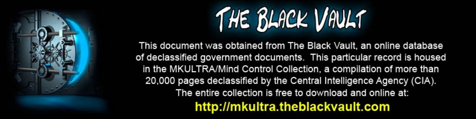

This document was obtained from The Black Vault, an online database of declassified government documents. This particular record is housed in the MKULTRA/Mind Control Collection, a compilation of more than 20,000 pages declassified by the Central Intelligence Agency (CIA). The entire collection is free to download and online at: http://mkultra.theblackvault.com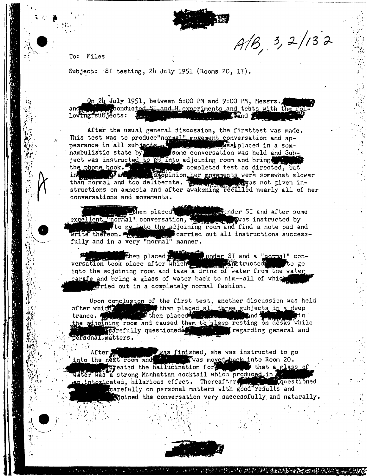$A/B, 3, 2/132$ 

To: Files

Subject: SI testing, 24 July 1951 (Rooms 20, 17).

<u>Qn</u> 24 July 1951, between 6:00 PM and 9:00 PM, Messrs. conducted SI and H experiments and tests with the fo and lowing subjects: *Saland* 

After the usual general discussion, the firsttest was made. This test was to produce"normal" movement conversation and appearance in all subjects. Some conversation was held and Subwas placed in a somject was instructed to go into adjoining room and bring the phone book. than normal and too deliberate. The structions on amnesia and after awakening recalled nearly all of her conversations and movements.

excellent "normal" conversation, a shinder SI and after some awas included to reliable the state of the state of the state of the state of the state of the state of the state of the state of the state of the state of the s write thereon. The property carried out all instructions successfully and in a very "normal" manner.

versation took place after which which the set of the structed to go into the adjoining room and take a drink of water from the water carafe and bring a glass of water back to him--all of which erried out in a completely normal fashion.

Upon conclusion of the first test, another discussion was held after which we have then placed all three subjects in a deep trance. trance. the adjoining room and caused them to sleep resting on desks while personal, matters.

After Manuscripture was finished, she was instructed to go into the next room and the was moved-back into Room 20. that a glass of the hallucination for the state of water was a strong Manhattan cocktail which produced in the same of the strong discussion of the strong strong questioned carefully on personal matters with good results and sjoined the conversation very successfully and naturally.